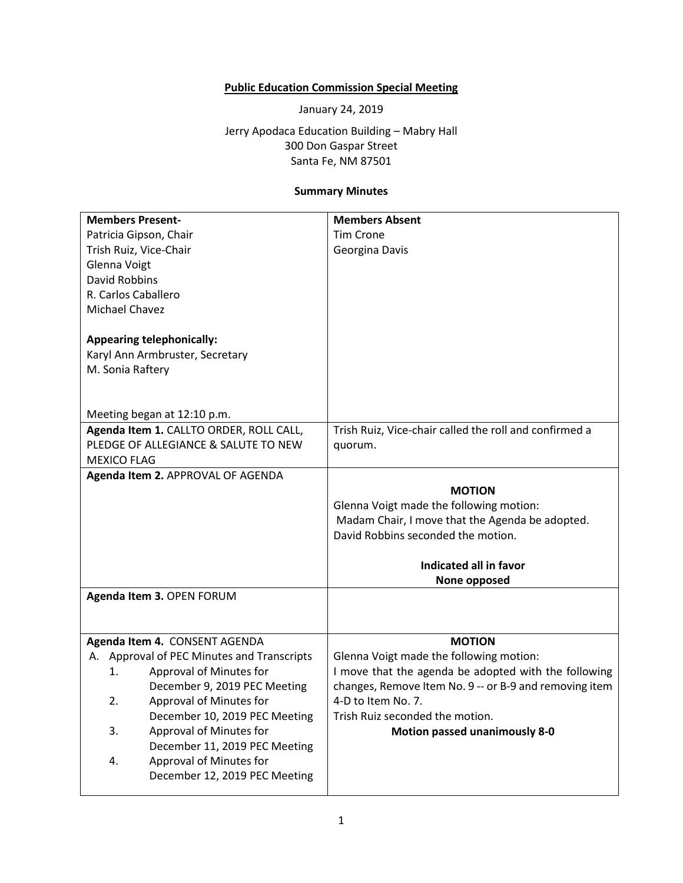## **Public Education Commission Special Meeting**

January 24, 2019

Jerry Apodaca Education Building – Mabry Hall 300 Don Gaspar Street Santa Fe, NM 87501

## **Summary Minutes**

| <b>Members Present-</b>                    | <b>Members Absent</b>                                  |
|--------------------------------------------|--------------------------------------------------------|
| Patricia Gipson, Chair                     | <b>Tim Crone</b>                                       |
| Trish Ruiz, Vice-Chair                     | Georgina Davis                                         |
| Glenna Voigt                               |                                                        |
| <b>David Robbins</b>                       |                                                        |
| R. Carlos Caballero                        |                                                        |
| Michael Chavez                             |                                                        |
|                                            |                                                        |
| <b>Appearing telephonically:</b>           |                                                        |
| Karyl Ann Armbruster, Secretary            |                                                        |
| M. Sonia Raftery                           |                                                        |
|                                            |                                                        |
|                                            |                                                        |
| Meeting began at 12:10 p.m.                |                                                        |
| Agenda Item 1. CALLTO ORDER, ROLL CALL,    | Trish Ruiz, Vice-chair called the roll and confirmed a |
| PLEDGE OF ALLEGIANCE & SALUTE TO NEW       | quorum.                                                |
| <b>MEXICO FLAG</b>                         |                                                        |
| Agenda Item 2. APPROVAL OF AGENDA          |                                                        |
|                                            | <b>MOTION</b>                                          |
|                                            | Glenna Voigt made the following motion:                |
|                                            | Madam Chair, I move that the Agenda be adopted.        |
|                                            | David Robbins seconded the motion.                     |
|                                            |                                                        |
|                                            | Indicated all in favor                                 |
|                                            | None opposed                                           |
| Agenda Item 3. OPEN FORUM                  |                                                        |
|                                            |                                                        |
| Agenda Item 4. CONSENT AGENDA              | <b>MOTION</b>                                          |
| A. Approval of PEC Minutes and Transcripts | Glenna Voigt made the following motion:                |
| Approval of Minutes for<br>1.              | I move that the agenda be adopted with the following   |
| December 9, 2019 PEC Meeting               | changes, Remove Item No. 9 -- or B-9 and removing item |
| Approval of Minutes for                    | 4-D to Item No. 7.                                     |
| 2.                                         | Trish Ruiz seconded the motion.                        |
| December 10, 2019 PEC Meeting<br>3.        |                                                        |
| Approval of Minutes for                    | <b>Motion passed unanimously 8-0</b>                   |
| December 11, 2019 PEC Meeting              |                                                        |
| Approval of Minutes for<br>4.              |                                                        |
| December 12, 2019 PEC Meeting              |                                                        |
|                                            |                                                        |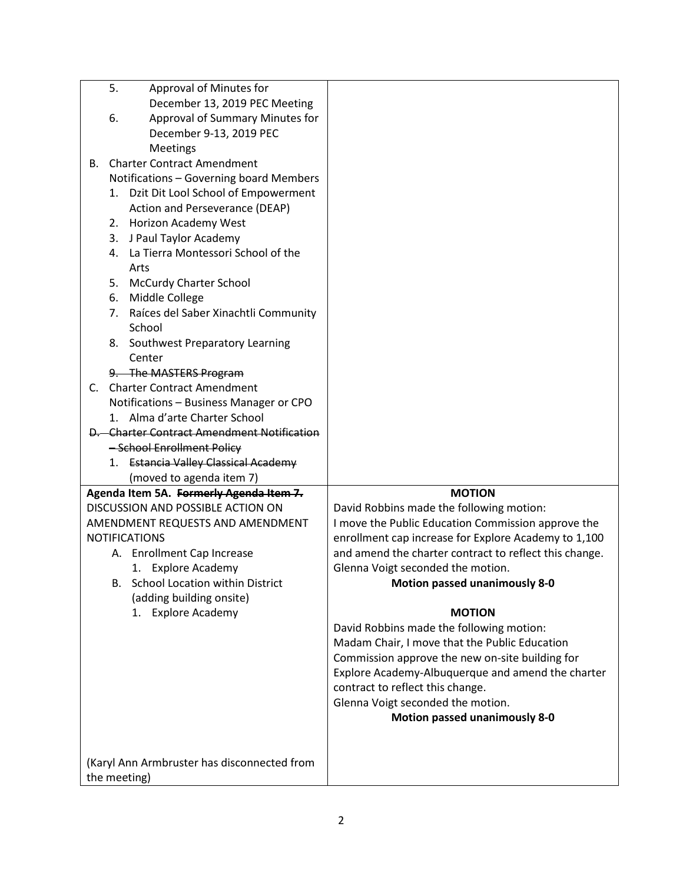| 5.<br>Approval of Minutes for                                          |                                                        |
|------------------------------------------------------------------------|--------------------------------------------------------|
| December 13, 2019 PEC Meeting<br>6.<br>Approval of Summary Minutes for |                                                        |
| December 9-13, 2019 PEC                                                |                                                        |
| Meetings                                                               |                                                        |
| <b>Charter Contract Amendment</b><br>В.                                |                                                        |
| Notifications - Governing board Members                                |                                                        |
| Dzit Dit Lool School of Empowerment<br>1.                              |                                                        |
| Action and Perseverance (DEAP)                                         |                                                        |
| 2. Horizon Academy West                                                |                                                        |
| 3. J Paul Taylor Academy                                               |                                                        |
| 4. La Tierra Montessori School of the                                  |                                                        |
| Arts                                                                   |                                                        |
| <b>McCurdy Charter School</b><br>5.                                    |                                                        |
| 6. Middle College                                                      |                                                        |
| 7. Raíces del Saber Xinachtli Community                                |                                                        |
| School                                                                 |                                                        |
| <b>Southwest Preparatory Learning</b><br>8.                            |                                                        |
| Center                                                                 |                                                        |
| 9. The MASTERS Program                                                 |                                                        |
| <b>Charter Contract Amendment</b><br>C.                                |                                                        |
| Notifications - Business Manager or CPO                                |                                                        |
| 1. Alma d'arte Charter School                                          |                                                        |
| <b>D.</b> Charter Contract Amendment Notification                      |                                                        |
| -School Enrollment Policy                                              |                                                        |
| <b>Estancia Valley Classical Academy</b><br>1.                         |                                                        |
| (moved to agenda item 7)<br>Agenda Item 5A. Formerly Agenda Item 7.    | <b>MOTION</b>                                          |
| DISCUSSION AND POSSIBLE ACTION ON                                      | David Robbins made the following motion:               |
| AMENDMENT REQUESTS AND AMENDMENT                                       | I move the Public Education Commission approve the     |
| <b>NOTIFICATIONS</b>                                                   | enrollment cap increase for Explore Academy to 1,100   |
| A. Enrollment Cap Increase                                             | and amend the charter contract to reflect this change. |
| 1. Explore Academy                                                     | Glenna Voigt seconded the motion.                      |
| <b>School Location within District</b>                                 | <b>Motion passed unanimously 8-0</b>                   |
| (adding building onsite)                                               |                                                        |
| 1. Explore Academy                                                     | <b>MOTION</b>                                          |
|                                                                        | David Robbins made the following motion:               |
|                                                                        | Madam Chair, I move that the Public Education          |
|                                                                        | Commission approve the new on-site building for        |
|                                                                        | Explore Academy-Albuquerque and amend the charter      |
|                                                                        | contract to reflect this change.                       |
|                                                                        | Glenna Voigt seconded the motion.                      |
|                                                                        | <b>Motion passed unanimously 8-0</b>                   |
|                                                                        |                                                        |
|                                                                        |                                                        |
| (Karyl Ann Armbruster has disconnected from                            |                                                        |
| the meeting)                                                           |                                                        |